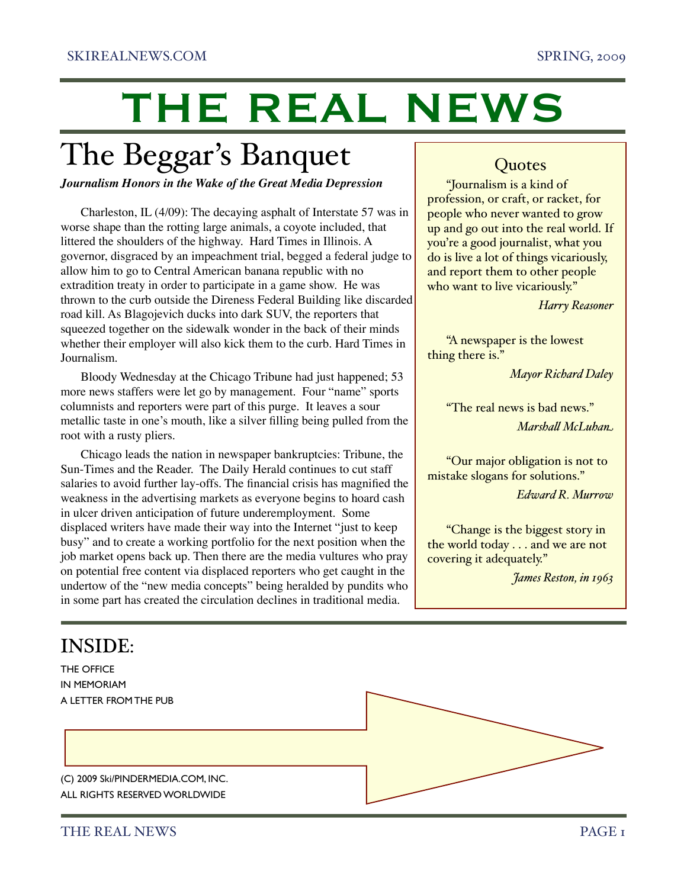# THE REAL NEWS

### The Beggar's Banquet

*Journalism Honors in the Wake of the Great Media Depression*

Charleston, IL (4/09): The decaying asphalt of Interstate 57 was in worse shape than the rotting large animals, a coyote included, that littered the shoulders of the highway. Hard Times in Illinois. A governor, disgraced by an impeachment trial, begged a federal judge to allow him to go to Central American banana republic with no extradition treaty in order to participate in a game show. He was thrown to the curb outside the Direness Federal Building like discarded road kill. As Blagojevich ducks into dark SUV, the reporters that squeezed together on the sidewalk wonder in the back of their minds whether their employer will also kick them to the curb. Hard Times in Journalism.

Bloody Wednesday at the Chicago Tribune had just happened; 53 more news staffers were let go by management. Four "name" sports columnists and reporters were part of this purge. It leaves a sour metallic taste in one's mouth, like a silver filling being pulled from the root with a rusty pliers.

Chicago leads the nation in newspaper bankruptcies: Tribune, the Sun-Times and the Reader. The Daily Herald continues to cut staff salaries to avoid further lay-offs. The financial crisis has magnified the weakness in the advertising markets as everyone begins to hoard cash in ulcer driven anticipation of future underemployment. Some displaced writers have made their way into the Internet "just to keep busy" and to create a working portfolio for the next position when the job market opens back up. Then there are the media vultures who pray on potential free content via displaced reporters who get caught in the undertow of the "new media concepts" being heralded by pundits who in some part has created the circulation declines in traditional media.

### **Quotes**

"Journalism is a kind of profession, or craft, or racket, for people who never wanted to grow up and go out into the real world. If you're a good journalist, what you do is live a lot of things vicariously, and report them to other people who want to live vicariously."

*Harry Reasoner*

"A newspaper is the lowest thing there is."

*Mayor Richard Daley*

"The real news is bad news." *Marsha! McLuhan*

"Our major obligation is not to mistake slogans for solutions." *Edward R. Murrow*

"Change is the biggest story in the world today . . . and we are not covering it adequately."

*James Reston, in 1963*

### INSIDE:

THE OFFICE IN MEMORIAM A **LETTER FROM THE PUR** 

(C) 2009 Ski/PINDERMEDIA.COM, INC. ALL RIGHTS RESERVED WORLDWIDE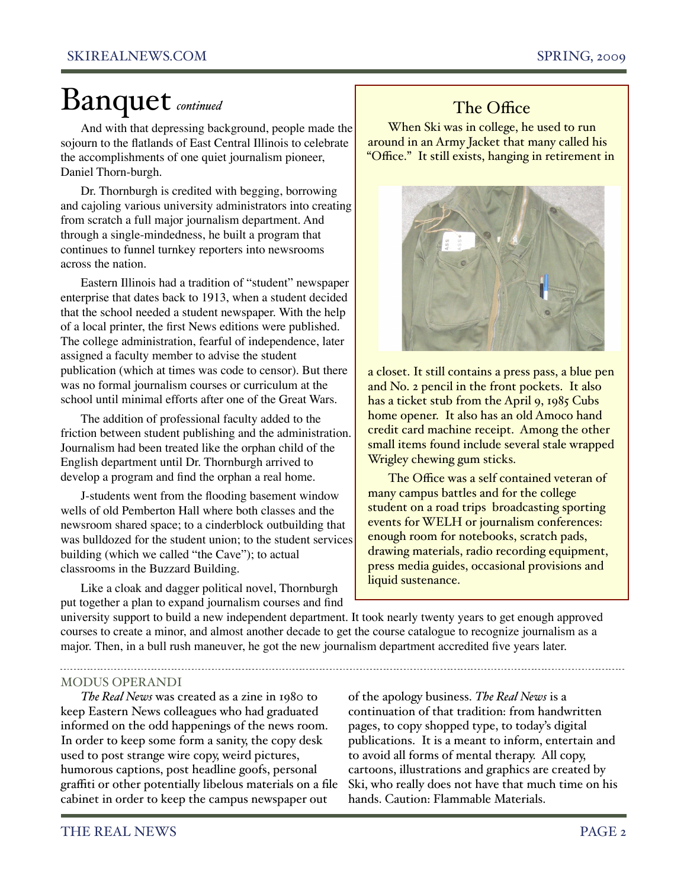### Banquet *continued*

And with that depressing background, people made the sojourn to the flatlands of East Central Illinois to celebrate the accomplishments of one quiet journalism pioneer, Daniel Thorn-burgh.

Dr. Thornburgh is credited with begging, borrowing and cajoling various university administrators into creating from scratch a full major journalism department. And through a single-mindedness, he built a program that continues to funnel turnkey reporters into newsrooms across the nation.

Eastern Illinois had a tradition of "student" newspaper enterprise that dates back to 1913, when a student decided that the school needed a student newspaper. With the help of a local printer, the first News editions were published. The college administration, fearful of independence, later assigned a faculty member to advise the student publication (which at times was code to censor). But there was no formal journalism courses or curriculum at the school until minimal efforts after one of the Great Wars.

The addition of professional faculty added to the friction between student publishing and the administration. Journalism had been treated like the orphan child of the English department until Dr. Thornburgh arrived to develop a program and find the orphan a real home.

J-students went from the flooding basement window wells of old Pemberton Hall where both classes and the newsroom shared space; to a cinderblock outbuilding that was bulldozed for the student union; to the student services building (which we called "the Cave"); to actual classrooms in the Buzzard Building.

Like a cloak and dagger political novel, Thornburgh put together a plan to expand journalism courses and find

### The Office

When Ski was in college, he used to run around in an Army Jacket that many called his "Office." It still exists, hanging in retirement in



a closet. It still contains a press pass, a blue pen and No. 2 pencil in the front pockets. It also has a ticket stub from the April 9, 1985 Cubs home opener. It also has an old Amoco hand credit card machine receipt. Among the other small items found include several stale wrapped Wrigley chewing gum sticks.

The Office was a self contained veteran of many campus battles and for the college student on a road trips broadcasting sporting events for WELH or journalism conferences: enough room for notebooks, scratch pads, drawing materials, radio recording equipment, press media guides, occasional provisions and liquid sustenance.

university support to build a new independent department. It took nearly twenty years to get enough approved courses to create a minor, and almost another decade to get the course catalogue to recognize journalism as a major. Then, in a bull rush maneuver, he got the new journalism department accredited five years later.

#### MODUS OPERANDI

*The Real News* was created as a zine in 1980 to keep Eastern News colleagues who had graduated informed on the odd happenings of the news room. In order to keep some form a sanity, the copy desk used to post strange wire copy, weird pictures, humorous captions, post headline goofs, personal graffiti or other potentially libelous materials on a file cabinet in order to keep the campus newspaper out

of the apology business. *The Real News* is a continuation of that tradition: from handwritten pages, to copy shopped type, to today's digital publications. It is a meant to inform, entertain and to avoid all forms of mental therapy. All copy, cartoons, illustrations and graphics are created by Ski, who really does not have that much time on his hands. Caution: Flammable Materials.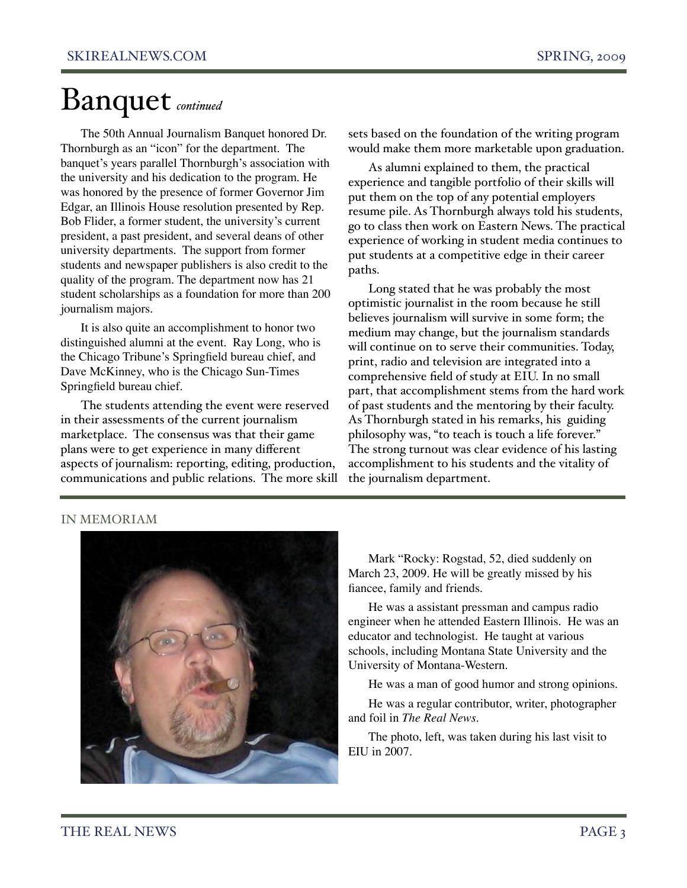## Banquet *continued*

The 50th Annual Journalism Banquet honored Dr. Thornburgh as an "icon" for the department. The banquet's years parallel Thornburgh's association with the university and his dedication to the program. He was honored by the presence of former Governor Jim Edgar, an Illinois House resolution presented by Rep. Bob Flider, a former student, the university's current president, a past president, and several deans of other university departments. The support from former students and newspaper publishers is also credit to the quality of the program. The department now has 21 student scholarships as a foundation for more than 200 journalism majors.

It is also quite an accomplishment to honor two distinguished alumni at the event. Ray Long, who is the Chicago Tribune's Springfield bureau chief, and Dave McKinney, who is the Chicago Sun-Times Springfield bureau chief.

The students attending the event were reserved in their assessments of the current journalism marketplace. The consensus was that their game plans were to get experience in many different aspects of journalism: reporting, editing, production, communications and public relations. The more skill sets based on the foundation of the writing program would make them more marketable upon graduation.

As alumni explained to them, the practical experience and tangible portfolio of their skills will put them on the top of any potential employers resume pile. As Thornburgh always told his students, go to class then work on Eastern News. The practical experience of working in student media continues to put students at a competitive edge in their career paths.

Long stated that he was probably the most optimistic journalist in the room because he still believes journalism will survive in some form; the medium may change, but the journalism standards will continue on to serve their communities. Today, print, radio and television are integrated into a comprehensive field of study at EIU. In no small part, that accomplishment stems from the hard work of past students and the mentoring by their faculty. As Thornburgh stated in his remarks, his guiding philosophy was, "to teach is touch a life forever." The strong turnout was clear evidence of his lasting accomplishment to his students and the vitality of the journalism department.

#### IN MEMORIAM



Mark "Rocky: Rogstad, 52, died suddenly on March 23, 2009. He will be greatly missed by his fiancee, family and friends.

He was a assistant pressman and campus radio engineer when he attended Eastern Illinois. He was an educator and technologist. He taught at various schools, including Montana State University and the University of Montana-Western.

He was a man of good humor and strong opinions.

He was a regular contributor, writer, photographer and foil in *The Real News*.

The photo, left, was taken during his last visit to EIU in 2007.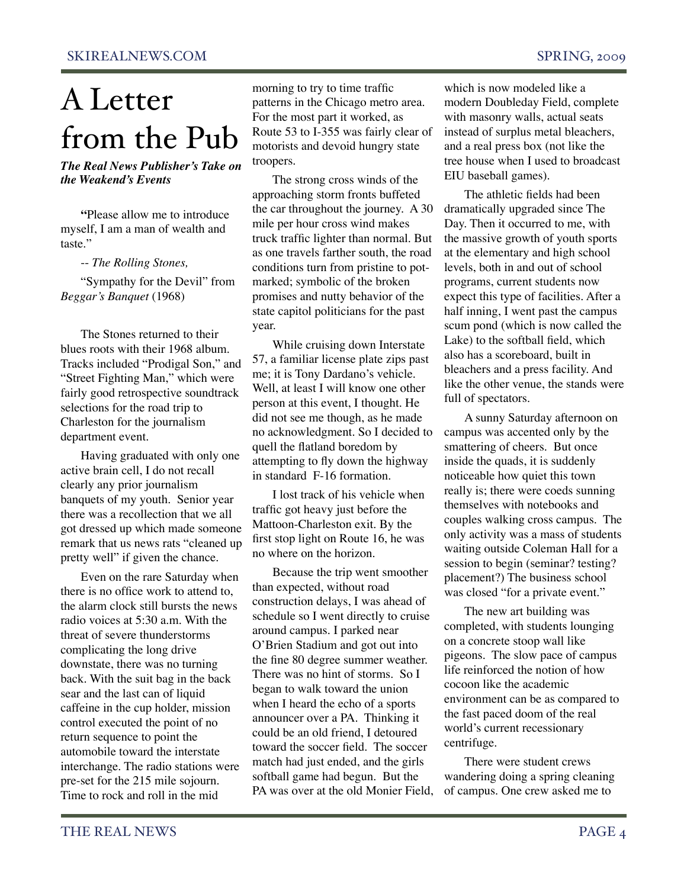# A Letter from the Pub

#### *The Real News Publisher's Take on the Weakend's Events*

**"**Please allow me to introduce myself, I am a man of wealth and taste."

-- *The Rolling Stones,*

"Sympathy for the Devil" from *Beggar's Banquet* (1968)

The Stones returned to their blues roots with their 1968 album. Tracks included "Prodigal Son," and "Street Fighting Man," which were fairly good retrospective soundtrack selections for the road trip to Charleston for the journalism department event.

Having graduated with only one active brain cell, I do not recall clearly any prior journalism banquets of my youth. Senior year there was a recollection that we all got dressed up which made someone remark that us news rats "cleaned up pretty well" if given the chance.

Even on the rare Saturday when there is no office work to attend to, the alarm clock still bursts the news radio voices at 5:30 a.m. With the threat of severe thunderstorms complicating the long drive downstate, there was no turning back. With the suit bag in the back sear and the last can of liquid caffeine in the cup holder, mission control executed the point of no return sequence to point the automobile toward the interstate interchange. The radio stations were pre-set for the 215 mile sojourn. Time to rock and roll in the mid

morning to try to time traffic patterns in the Chicago metro area. For the most part it worked, as Route 53 to I-355 was fairly clear of motorists and devoid hungry state troopers.

The strong cross winds of the approaching storm fronts buffeted the car throughout the journey. A 30 mile per hour cross wind makes truck traffic lighter than normal. But as one travels farther south, the road conditions turn from pristine to potmarked; symbolic of the broken promises and nutty behavior of the state capitol politicians for the past year.

While cruising down Interstate 57, a familiar license plate zips past me; it is Tony Dardano's vehicle. Well, at least I will know one other person at this event, I thought. He did not see me though, as he made no acknowledgment. So I decided to quell the flatland boredom by attempting to fly down the highway in standard F-16 formation.

I lost track of his vehicle when traffic got heavy just before the Mattoon-Charleston exit. By the first stop light on Route 16, he was no where on the horizon.

Because the trip went smoother than expected, without road construction delays, I was ahead of schedule so I went directly to cruise around campus. I parked near O'Brien Stadium and got out into the fine 80 degree summer weather. There was no hint of storms. So I began to walk toward the union when I heard the echo of a sports announcer over a PA. Thinking it could be an old friend, I detoured toward the soccer field. The soccer match had just ended, and the girls softball game had begun. But the PA was over at the old Monier Field, which is now modeled like a modern Doubleday Field, complete with masonry walls, actual seats instead of surplus metal bleachers, and a real press box (not like the tree house when I used to broadcast EIU baseball games).

The athletic fields had been dramatically upgraded since The Day. Then it occurred to me, with the massive growth of youth sports at the elementary and high school levels, both in and out of school programs, current students now expect this type of facilities. After a half inning, I went past the campus scum pond (which is now called the Lake) to the softball field, which also has a scoreboard, built in bleachers and a press facility. And like the other venue, the stands were full of spectators.

A sunny Saturday afternoon on campus was accented only by the smattering of cheers. But once inside the quads, it is suddenly noticeable how quiet this town really is; there were coeds sunning themselves with notebooks and couples walking cross campus. The only activity was a mass of students waiting outside Coleman Hall for a session to begin (seminar? testing? placement?) The business school was closed "for a private event."

The new art building was completed, with students lounging on a concrete stoop wall like pigeons. The slow pace of campus life reinforced the notion of how cocoon like the academic environment can be as compared to the fast paced doom of the real world's current recessionary centrifuge.

There were student crews wandering doing a spring cleaning of campus. One crew asked me to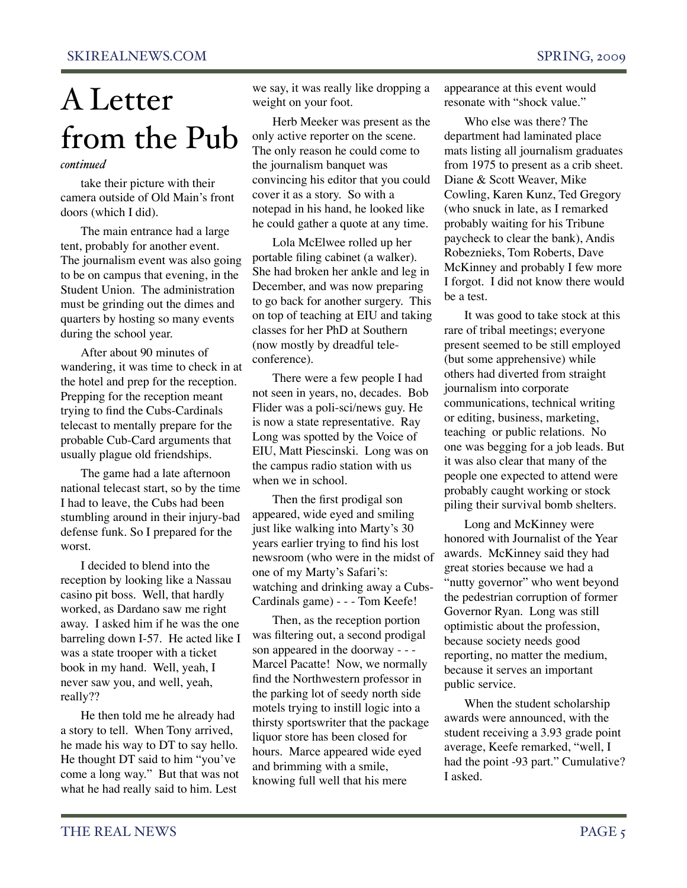# A Letter from the Pub

#### *continued*

take their picture with their camera outside of Old Main's front doors (which I did).

The main entrance had a large tent, probably for another event. The journalism event was also going to be on campus that evening, in the Student Union. The administration must be grinding out the dimes and quarters by hosting so many events during the school year.

After about 90 minutes of wandering, it was time to check in at the hotel and prep for the reception. Prepping for the reception meant trying to find the Cubs-Cardinals telecast to mentally prepare for the probable Cub-Card arguments that usually plague old friendships.

The game had a late afternoon national telecast start, so by the time I had to leave, the Cubs had been stumbling around in their injury-bad defense funk. So I prepared for the worst.

I decided to blend into the reception by looking like a Nassau casino pit boss. Well, that hardly worked, as Dardano saw me right away. I asked him if he was the one barreling down I-57. He acted like I was a state trooper with a ticket book in my hand. Well, yeah, I never saw you, and well, yeah, really??

He then told me he already had a story to tell. When Tony arrived, he made his way to DT to say hello. He thought DT said to him "you've come a long way." But that was not what he had really said to him. Lest

we say, it was really like dropping a weight on your foot.

Herb Meeker was present as the only active reporter on the scene. The only reason he could come to the journalism banquet was convincing his editor that you could cover it as a story. So with a notepad in his hand, he looked like he could gather a quote at any time.

Lola McElwee rolled up her portable filing cabinet (a walker). She had broken her ankle and leg in December, and was now preparing to go back for another surgery. This on top of teaching at EIU and taking classes for her PhD at Southern (now mostly by dreadful teleconference).

There were a few people I had not seen in years, no, decades. Bob Flider was a poli-sci/news guy. He is now a state representative. Ray Long was spotted by the Voice of EIU, Matt Piescinski. Long was on the campus radio station with us when we in school.

Then the first prodigal son appeared, wide eyed and smiling just like walking into Marty's 30 years earlier trying to find his lost newsroom (who were in the midst of one of my Marty's Safari's: watching and drinking away a Cubs-Cardinals game) - - - Tom Keefe!

Then, as the reception portion was filtering out, a second prodigal son appeared in the doorway - - - Marcel Pacatte! Now, we normally find the Northwestern professor in the parking lot of seedy north side motels trying to instill logic into a thirsty sportswriter that the package liquor store has been closed for hours. Marce appeared wide eyed and brimming with a smile, knowing full well that his mere

appearance at this event would resonate with "shock value."

Who else was there? The department had laminated place mats listing all journalism graduates from 1975 to present as a crib sheet. Diane & Scott Weaver, Mike Cowling, Karen Kunz, Ted Gregory (who snuck in late, as I remarked probably waiting for his Tribune paycheck to clear the bank), Andis Robeznieks, Tom Roberts, Dave McKinney and probably I few more I forgot. I did not know there would be a test.

It was good to take stock at this rare of tribal meetings; everyone present seemed to be still employed (but some apprehensive) while others had diverted from straight journalism into corporate communications, technical writing or editing, business, marketing, teaching or public relations. No one was begging for a job leads. But it was also clear that many of the people one expected to attend were probably caught working or stock piling their survival bomb shelters.

Long and McKinney were honored with Journalist of the Year awards. McKinney said they had great stories because we had a "nutty governor" who went beyond the pedestrian corruption of former Governor Ryan. Long was still optimistic about the profession, because society needs good reporting, no matter the medium, because it serves an important public service.

When the student scholarship awards were announced, with the student receiving a 3.93 grade point average, Keefe remarked, "well, I had the point -93 part." Cumulative? I asked.